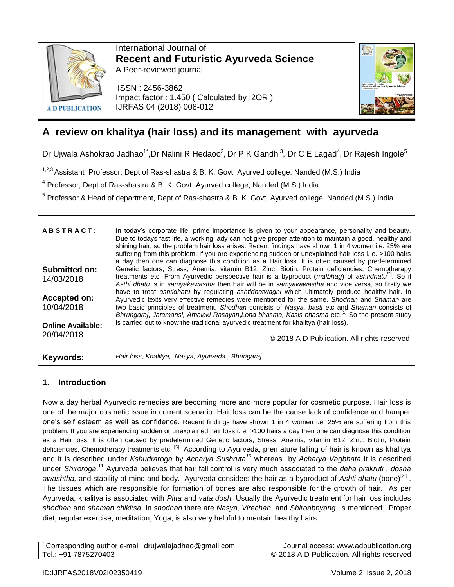

International Journal of **Recent and Futuristic Ayurveda Science** A Peer-reviewed journal

ISSN : 2456-3862 Impact factor : 1.450 ( Calculated by I2OR ) IJRFAS 04 (2018) 008-012



# **A review on khalitya (hair loss) and its management with ayurveda**

Dr Ujwala Ashokrao Jadhao<sup>1\*</sup>,Dr Nalini R Hedaoo<sup>2</sup>, Dr P K Gandhi<sup>3</sup>, Dr C E Lagad<sup>4</sup>, Dr Rajesh Ingole<sup>5</sup>

<sup>1,2,3</sup> Assistant Professor, Dept.of Ras-shastra & B. K. Govt. Ayurved college, Nanded (M.S.) India

<sup>4</sup> Professor, Dept.of Ras-shastra & B. K. Govt. Ayurved college, Nanded (M.S.) India

<sup>5</sup> Professor & Head of department, Dept.of Ras-shastra & B. K. Govt. Ayurved college, Nanded (M.S.) India

| <b>ABSTRACT:</b>         | In today's corporate life, prime importance is given to your appearance, personality and beauty.<br>Due to todays fast life, a working lady can not give proper attention to maintain a good, healthy and<br>shining hair, so the problem hair loss arises. Recent findings have shown 1 in 4 women i.e. 25% are<br>suffering from this problem. If you are experiencing sudden or unexplained hair loss i. e. >100 hairs<br>a day then one can diagnose this condition as a Hair loss. It is often caused by predetermined |
|--------------------------|-----------------------------------------------------------------------------------------------------------------------------------------------------------------------------------------------------------------------------------------------------------------------------------------------------------------------------------------------------------------------------------------------------------------------------------------------------------------------------------------------------------------------------|
| <b>Submitted on:</b>     | Genetic factors, Stress, Anemia, vitamin B12, Zinc, Biotin, Protein deficiencies, Chemotherapy                                                                                                                                                                                                                                                                                                                                                                                                                              |
| 14/03/2018               | treatments etc. From Ayurvedic perspective hair is a byproduct (malbhag) of ashtidhatu <sup>21</sup> . So if<br>Asthi dhatu is in samyakawastha then hair will be in samyakawastha and vice versa, so firstly we<br>have to treat ashtidhatu by regulating ashtidhatwagni which ultimately produce healthy hair. In                                                                                                                                                                                                         |
| Accepted on:             | Ayurvedic texts very effective remedies were mentioned for the same. Shodhan and Shaman are                                                                                                                                                                                                                                                                                                                                                                                                                                 |
| 10/04/2018               | two basic principles of treatment, Shodhan consists of Nasya, basti etc and Shaman consists of<br>Bhrungaraj, Jatamansi, Amalaki Rasayan, Loha bhasma, Kasis bhasma etc. <sup>[1]</sup> So the present study                                                                                                                                                                                                                                                                                                                |
| <b>Online Available:</b> | is carried out to know the traditional ayurvedic treatment for khalitya (hair loss).                                                                                                                                                                                                                                                                                                                                                                                                                                        |
| 20/04/2018               | © 2018 A D Publication. All rights reserved                                                                                                                                                                                                                                                                                                                                                                                                                                                                                 |
| Keywords:                | Hair loss, Khalitya, Nasya, Ayurveda, Bhringaraj.                                                                                                                                                                                                                                                                                                                                                                                                                                                                           |

# **1. Introduction**

Now a day herbal Ayurvedic remedies are becoming more and more popular for cosmetic purpose. Hair loss is one of the major cosmetic issue in current scenario. Hair loss can be the cause lack of confidence and hamper one's self esteem as well as confidence. Recent findings have shown 1 in 4 women i.e. 25% are suffering from this problem. If you are experiencing sudden or unexplained hair loss i. e. >100 hairs a day then one can diagnose this condition as a Hair loss. It is often caused by predetermined Genetic factors, Stress, Anemia, vitamin B12, Zinc, Biotin, Protein deficiencies, Chemotherapy treatments etc. <sup>[5]</sup> According to Ayurveda, premature falling of hair is known as khalitya and it is described under *Kshudraroga* by *Acharya Sushruta<sup>10</sup>* whereas by *Acharya Vagbhata* it is described under *Shiroroga*. <sup>11</sup> Ayurveda believes that hair fall control is very much associated to the *deha prakruti , dosha*  awashtha, and stability of mind and body. Ayurveda considers the hair as a byproduct of Ashti dhatu (bone)<sup>[2]</sup>. The tissues which are responsible for formation of bones are also responsible for the growth of hair. As per Ayurveda, khalitya is associated with *Pitta* and *vata dosh.* Usually the Ayurvedic treatment for hair loss includes *shodhan* and *shaman chikitsa*. In *shodhan* there are *Nasya, Virechan* and *Shiroabhyang* is mentioned. Proper diet, regular exercise, meditation, Yoga, is also very helpful to mentain healthy hairs.

\* Corresponding author e-mail: drujwalajadhao@gmail.com Journal access: www.adpublication.org

© 2018 A D Publication. All rights reserved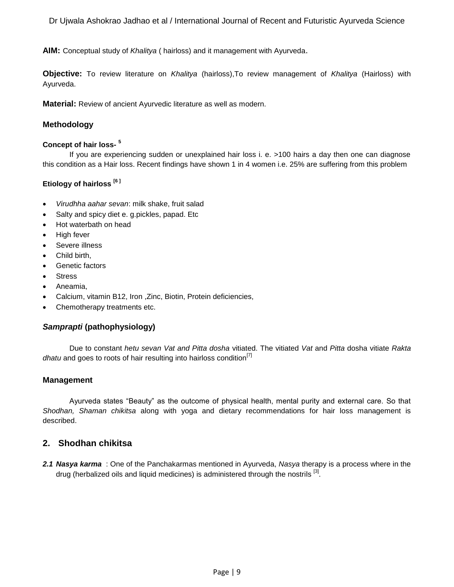Dr Ujwala Ashokrao Jadhao et al / International Journal of Recent and Futuristic Ayurveda Science

**AIM:** Conceptual study of *Khalitya* ( hairloss) and it management with Ayurveda.

**Objective:** To review literature on *Khalitya* (hairloss),To review management of *Khalitya* (Hairloss) with Ayurveda.

**Material:** Review of ancient Ayurvedic literature as well as modern.

## **Methodology**

#### **Concept of hair loss-5**

If you are experiencing sudden or unexplained hair loss i. e. >100 hairs a day then one can diagnose this condition as a Hair loss. Recent findings have shown 1 in 4 women i.e. 25% are suffering from this problem

#### **Etiology of hairloss [6 ]**

- *Virudhha aahar sevan*: milk shake, fruit salad
- Salty and spicy diet e. g.pickles, papad. Etc
- Hot waterbath on head
- High fever
- Severe illness
- Child birth,
- Genetic factors
- Stress
- Aneamia.
- Calcium, vitamin B12, Iron ,Zinc, Biotin, Protein deficiencies,
- Chemotherapy treatments etc.

#### *Samprapti* **(pathophysiology)**

Due to constant *hetu sevan Vat and Pitta dosha* vitiated. The vitiated *Vat* and *Pitta* dosha vitiate *Rakta dhatu* and goes to roots of hair resulting into hairloss condition<sup>[7]</sup>

#### **Management**

Ayurveda states "Beauty" as the outcome of physical health, mental purity and external care. So that *Shodhan, Shaman chikitsa* along with yoga and dietary recommendations for hair loss management is described.

# **2. Shodhan chikitsa**

*2.1 Nasya karma* : One of the Panchakarmas mentioned in Ayurveda, *Nasya* therapy is a process where in the drug (herbalized oils and liquid medicines) is administered through the nostrils <sup>[3]</sup>.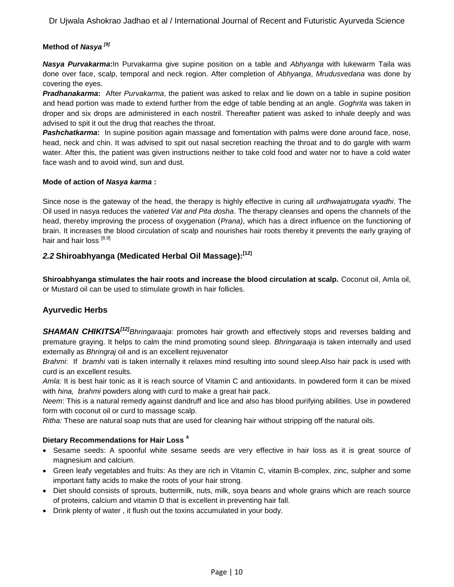Dr Ujwala Ashokrao Jadhao et al / International Journal of Recent and Futuristic Ayurveda Science

# **Method of** *Nasya [9]*

*Nasya Purvakarma***:**In Purvakarma give supine position on a table and *Abhyanga* with lukewarm Taila was done over face, scalp, temporal and neck region. After completion of *Abhyanga*, *Mrudusvedana* was done by covering the eyes.

*Pradhanakarma***:** After *Purvakarma*, the patient was asked to relax and lie down on a table in supine position and head portion was made to extend further from the edge of table bending at an angle. *Goghrita* was taken in droper and six drops are administered in each nostril. Thereafter patient was asked to inhale deeply and was advised to spit it out the drug that reaches the throat.

**Pashchatkarma:** In supine position again massage and fomentation with palms were done around face, nose, head, neck and chin. It was advised to spit out nasal secretion reaching the throat and to do gargle with warm water. After this, the patient was given instructions neither to take cold food and water nor to have a cold water face wash and to avoid wind, sun and dust.

#### **Mode of action of** *Nasya karma* **:**

Since nose is the gateway of the head, the therapy is highly effective in curing all *urdhwajatrugata vyadhi*. The Oil used in nasya reduces the *vatieted Vat and Pita dosha*. The therapy cleanses and opens the channels of the head, thereby improving the process of oxygenation (*Prana)*, which has a direct influence on the functioning of brain. It increases the blood circulation of scalp and nourishes hair roots thereby it prevents the early graying of hair and hair loss [8,9]

# *2.2* **Shiroabhyanga (Medicated Herbal Oil Massage):[12]**

**Shiroabhyanga stimulates the hair roots and increase the blood circulation at scalp.** Coconut oil, Amla oil, or Mustard oil can be used to stimulate growth in [hair follicles.](file:///I:/hair%20loss/Ayurvedic%20Treatment%20for%20Hair%20Loss_%20Hair%20fall.htm)

# **Ayurvedic Herbs**

*SHAMAN CHIKITSA[12]Bhringaraaja*: promotes hair growth and effectively stops and reverses balding and premature graying. It helps to calm the mind promoting sound sleep. *Bhringaraaja* is taken internally and used externally as *Bhringraj* oil and is an excellent rejuvenator

*Brahmi*: If *bramhi* vati is taken internally it relaxes mind resulting into sound sleep.Also hair pack is used with curd is an excellent results.

*Amla:* It is best hair tonic as it is reach source of Vitamin C and antioxidants. In powdered form it can be mixed with *hina, brahmi* powders along with curd to make a [great](file:///I:/hair%20loss/Ayurvedic%20Treatment%20for%20Hair%20Loss_%20Hair%20fall.htm) hair pack.

*Neem*: This is a natural remedy against dandruff and lice and also has blood purifying abilities. Use in powdered form with coconut oil or curd to massage scalp.

*Ritha:* These are natural soap nuts that are used for cleaning hair without stripping off the natural oils.

# **Dietary Recommendations for Hair Loss <sup>4</sup>**

- Sesame seeds: A spoonful white sesame seeds are very effective in hair loss as it is great source of magnesium and calcium.
- Green leafy vegetables and fruits: As they are rich in Vitamin C, vitamin B-complex, zinc, sulpher and some important fatty acids to make the roots of your hair strong.
- Diet should consists of sprouts, buttermilk, nuts, milk, soya beans and whole grains which are reach source of proteins, calcium and vitamin D that is excellent in preventing hair fall.
- Drink plenty of water , it flush out the toxins accumulated in your body.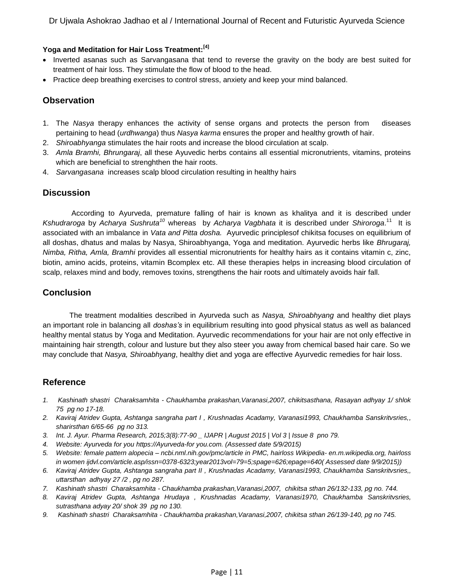## **Yoga and Meditation for Hair Loss Treatment:[4]**

- Inverted asanas such as Sarvangasana that tend to reverse the gravity on the body are best suited for treatment of hair loss. They stimulate the flow of blood to the head.
- Practice deep breathing exercises to control stress, anxiety and keep your mind balanced.

# **Observation**

- 1. The *Nasya* therapy enhances the activity of sense organs and protects the person from diseases pertaining to head (*urdhwanga*) thus *Nasya karma* ensures the proper and healthy growth of hair.
- 2. *Shiroabhyanga* stimulates the hair roots and increase the blood circulation at scalp.
- 3. *Amla Bramhi, Bhrungaraj*, all these Ayuvedic herbs contains all essential micronutrients, vitamins, proteins which are beneficial to strenghthen the hair roots.
- 4. *Sarvangasana* increases scalp blood circulation resulting in healthy hairs

# **Discussion**

According to Ayurveda, premature falling of hair is known as khalitya and it is described under Kshudraroga by Acharya Sushruta<sup>10</sup> whereas by Acharya Vagbhata it is described under Shiroroga.<sup>11</sup> It is associated with an imbalance in *Vata and Pitta dosha.* Ayurvedic principlesof chikitsa focuses on equilibrium of all doshas, dhatus and malas by Nasya, Shiroabhyanga, Yoga and meditation. Ayurvedic herbs like *Bhrugaraj, Nimba, Ritha, Amla, Bramhi* provides all essential micronutrients for healthy hairs as it contains vitamin c, zinc, biotin, amino acids, proteins, vitamin Bcomplex etc. All these therapies helps in increasing blood circulation of scalp, relaxes mind and body, removes toxins, strengthens the hair roots and ultimately avoids hair fall.

# **Conclusion**

The treatment modalities described in Ayurveda such as *Nasya, Shiroabhyang* and healthy diet plays an important role in balancing all *doshas's* in equilibrium resulting into good physical status as well as balanced healthy mental status by Yoga and Meditation. Ayurvedic recommendations for your hair are not only effective in maintaining hair strength, colour and lusture but they also steer you away from chemical based hair care. So we may conclude that *Nasya, Shiroabhyang*, healthy diet and yoga are effective Ayurvedic remedies for hair loss.

# **Reference**

- *1. Kashinath shastri Charaksamhita - Chaukhamba prakashan,Varanasi,2007, chikitsasthana, Rasayan adhyay 1/ shlok 75 pg no 17-18.*
- *2. Kaviraj Atridev Gupta, Ashtanga sangraha part I , Krushnadas Acadamy, Varanasi1993, Chaukhamba Sanskritvsries,, sharirsthan 6/65-66 pg no 313.*
- *3. Int. J. Ayur. Pharma Research, 2015;3(8):77-90 \_ IJAPR | August 2015 | Vol 3 | Issue 8 pno 79.*
- *4. Website: Ayurveda for you https://Ayurveda-for you.com. (Assessed date 5/9/2015)*
- *5. Website: female pattern alopecia – ncbi.nml.nih.gov/pmc/article in PMC, hairloss Wikipedia- en.m.wikipedia.org, hairloss in women ijdvl.com/article.asp/issn=0378-6323;year2013vol=79=5;spage=626;epage=640( Assessed date 9/9/2015))*
- *6. Kaviraj Atridev Gupta, Ashtanga sangraha part II , Krushnadas Acadamy, Varanasi1993, Chaukhamba Sanskritvsries,, uttarsthan adhyay 27 /2 , pg no 287.*
- *7. Kashinath shastri Charaksamhita - Chaukhamba prakashan,Varanasi,2007, chikitsa sthan 26/132-133, pg no. 744.*
- *8. Kaviraj Atridev Gupta, Ashtanga Hrudaya , Krushnadas Acadamy, Varanasi1970, Chaukhamba Sanskritvsries, sutrasthana adyay 20/ shok 39 pg no 130.*
- *9. Kashinath shastri Charaksamhita - Chaukhamba prakashan,Varanasi,2007, chikitsa sthan 26/139-140, pg no 745.*